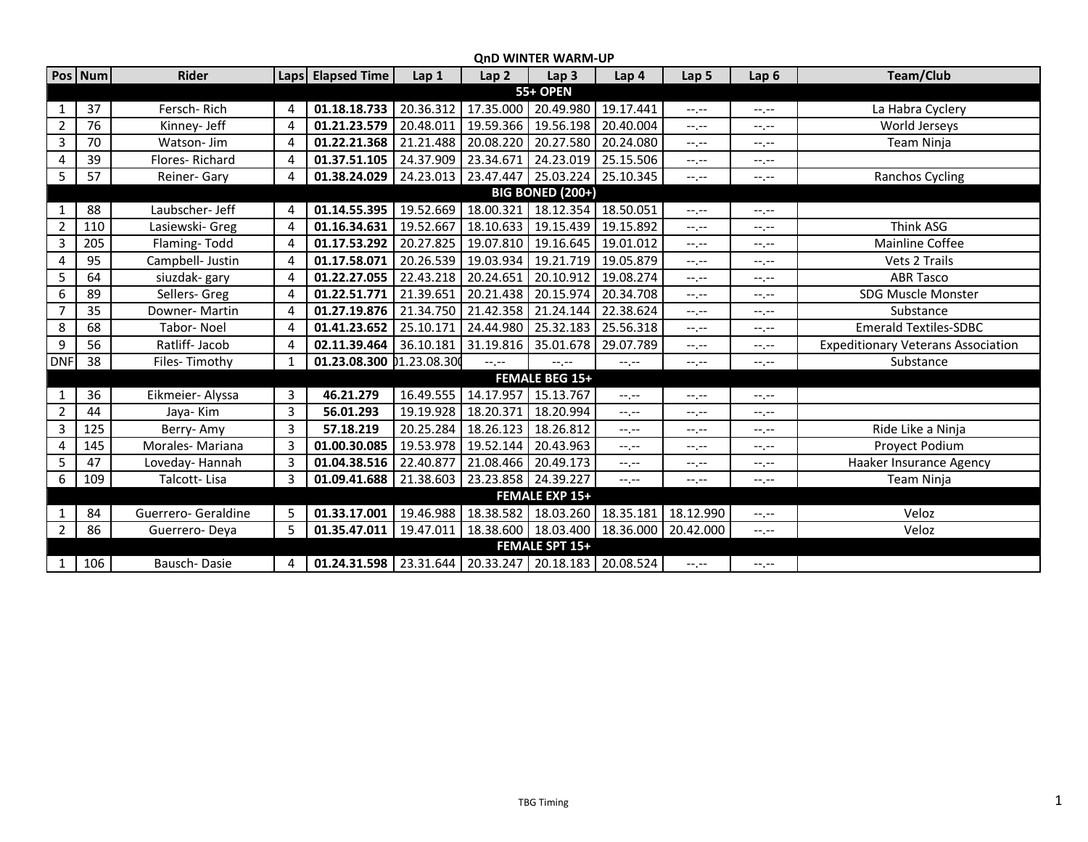|                         | <b>OND WINTER WARM-UP</b> |                     |                |                                                              |           |                                                           |                               |           |                  |                  |                                           |  |  |
|-------------------------|---------------------------|---------------------|----------------|--------------------------------------------------------------|-----------|-----------------------------------------------------------|-------------------------------|-----------|------------------|------------------|-------------------------------------------|--|--|
|                         | Pos Num                   | <b>Rider</b>        |                | Laps Elapsed Time                                            | Lap 1     | Lap <sub>2</sub>                                          | Lap <sub>3</sub>              | Lap 4     | Lap 5            | Lap <sub>6</sub> | Team/Club                                 |  |  |
| <b>55+ OPEN</b>         |                           |                     |                |                                                              |           |                                                           |                               |           |                  |                  |                                           |  |  |
| 1                       | 37                        | Fersch-Rich         | 4              | 01.18.18.733                                                 | 20.36.312 | 17.35.000                                                 | 20.49.980                     | 19.17.441 | $-1 - 1 - 1 = 0$ | $-1.1 -$         | La Habra Cyclery                          |  |  |
| $\overline{2}$          | 76                        | Kinney- Jeff        | 4              | 01.21.23.579                                                 | 20.48.011 | 19.59.366                                                 | 19.56.198                     | 20.40.004 | $-1, -1$         | $-1, -1$         | World Jerseys                             |  |  |
| $\mathbf{3}$            | 70                        | Watson- Jim         | 4              | 01.22.21.368                                                 | 21.21.488 | 20.08.220 20.27.580 20.24.080                             |                               |           | $-1, -1$         | $-1.1 -$         | Team Ninja                                |  |  |
| 4                       | 39                        | Flores-Richard      | 4              | 01.37.51.105                                                 | 24.37.909 | 23.34.671                                                 | 24.23.019 25.15.506           |           | $-1, -1$         | --.--            |                                           |  |  |
| 5                       | 57                        | Reiner- Gary        | 4              | 01.38.24.029   24.23.013   23.47.447   25.03.224   25.10.345 |           |                                                           |                               |           | $-1, -1$         | $-1, -1$         | Ranchos Cycling                           |  |  |
| <b>BIG BONED (200+)</b> |                           |                     |                |                                                              |           |                                                           |                               |           |                  |                  |                                           |  |  |
|                         | 88                        | Laubscher- Jeff     | 4              | 01.14.55.395                                                 | 19.52.669 | 18.00.321                                                 | 18.12.354 18.50.051           |           | $-1, -1$         | $-1, -1$         |                                           |  |  |
| $\overline{2}$          | 110                       | Lasiewski- Greg     | $\overline{4}$ | 01.16.34.631                                                 | 19.52.667 |                                                           | 18.10.633 19.15.439 19.15.892 |           | $-1, -1$         | $-1, -1$         | Think ASG                                 |  |  |
| 3                       | 205                       | Flaming-Todd        | 4              | 01.17.53.292                                                 | 20.27.825 | 19.07.810                                                 | 19.16.645                     | 19.01.012 | $-1, -1$         | $-1, -1$         | Mainline Coffee                           |  |  |
| 4                       | 95                        | Campbell- Justin    | $\overline{4}$ | 01.17.58.071                                                 | 20.26.539 |                                                           | 19.03.934 19.21.719 19.05.879 |           | $-1, -1$         | $-1, -1$         | Vets 2 Trails                             |  |  |
| 5                       | 64                        | siuzdak-gary        | 4              | 01.22.27.055                                                 | 22.43.218 | 20.24.651                                                 | 20.10.912 19.08.274           |           | $-1, -1$         | $-1, -1$         | <b>ABR Tasco</b>                          |  |  |
| 6                       | 89                        | Sellers- Greg       | 4              | 01.22.51.771                                                 | 21.39.651 | 20.21.438                                                 | 20.15.974                     | 20.34.708 | $-1, -1$         | $-1, -1$         | <b>SDG Muscle Monster</b>                 |  |  |
| 7                       | 35                        | Downer- Martin      | 4              | 01.27.19.876                                                 | 21.34.750 | 21.42.358                                                 | 21.24.144                     | 22.38.624 | $--, --$         | $-1, -1$         | Substance                                 |  |  |
| 8                       | 68                        | Tabor-Noel          | 4              | 01.41.23.652                                                 | 25.10.171 | 24.44.980                                                 | 25.32.183                     | 25.56.318 | $-1, -1$         | $-1, -1$         | <b>Emerald Textiles-SDBC</b>              |  |  |
| 9                       | 56                        | Ratliff- Jacob      | 4              | 02.11.39.464                                                 | 36.10.181 | 31.19.816                                                 | 35.01.678                     | 29.07.789 | $-1, -1$         | $-1, -1$         | <b>Expeditionary Veterans Association</b> |  |  |
| <b>DNF</b>              | 38                        | Files-Timothy       | 1              | 01.23.08.300 01.23.08.30                                     |           | $-1, -1$                                                  | $-1, -1$                      | $-1, -1$  | $-1, -1$         | $-1.7 -$         | Substance                                 |  |  |
|                         |                           |                     |                |                                                              |           |                                                           | <b>FEMALE BEG 15+</b>         |           |                  |                  |                                           |  |  |
| 1                       | 36                        | Eikmeier- Alyssa    | 3              | 46.21.279                                                    | 16.49.555 | 14.17.957                                                 | 15.13.767                     | $-1, -1$  | $-1, -1$         | $-1, -1$         |                                           |  |  |
| $\overline{2}$          | 44                        | Jaya-Kim            | 3              | 56.01.293                                                    | 19.19.928 | 18.20.371                                                 | 18.20.994                     | $-1, -1$  | $-1, -1$         | $-1, -1$         |                                           |  |  |
| 3                       | 125                       | Berry-Amy           | 3              | 57.18.219                                                    | 20.25.284 | 18.26.123 18.26.812                                       |                               | $-1, -1$  | $-1, -1$         | $-1, -1$         | Ride Like a Ninja                         |  |  |
| 4                       | 145                       | Morales- Mariana    | 3              | 01.00.30.085                                                 | 19.53.978 | 19.52.144                                                 | 20.43.963                     | $-1, -1$  | $-1, -1$         | $-1, -1$         | Proyect Podium                            |  |  |
| 5                       | 47                        | Loveday-Hannah      | 3              | 01.04.38.516                                                 | 22.40.877 | 21.08.466 20.49.173                                       |                               | $-1, -1$  | $--, --$         | $-1, -1$         | Haaker Insurance Agency                   |  |  |
| 6                       | 109                       | Talcott-Lisa        | 3              | 01.09.41.688                                                 | 21.38.603 | 23.23.858 24.39.227                                       |                               | $-1, -1$  | $-1, -1$         | $-1, -1$         | Team Ninja                                |  |  |
| <b>FEMALE EXP 15+</b>   |                           |                     |                |                                                              |           |                                                           |                               |           |                  |                  |                                           |  |  |
| 1                       | 84                        | Guerrero- Geraldine | 5              | 01.33.17.001                                                 | 19.46.988 | 18.38.582 18.03.260 18.35.181                             |                               |           | 18.12.990        | $-1, -1$         | Veloz                                     |  |  |
| $\overline{2}$          | 86                        | Guerrero-Deya       | 5              | 01.35.47.011                                                 |           | 19.47.011   18.38.600   18.03.400   18.36.000   20.42.000 |                               |           |                  | $-1, -1$         | Veloz                                     |  |  |
|                         |                           |                     |                |                                                              |           |                                                           | <b>FEMALE SPT 15+</b>         |           |                  |                  |                                           |  |  |
|                         | 106                       | Bausch-Dasie        | 4              | 01.24.31.598   23.31.644   20.33.247   20.18.183   20.08.524 |           |                                                           |                               |           | $-1, -1$         | $-1, -1$         |                                           |  |  |

## **QnD WINTER WARM-UP**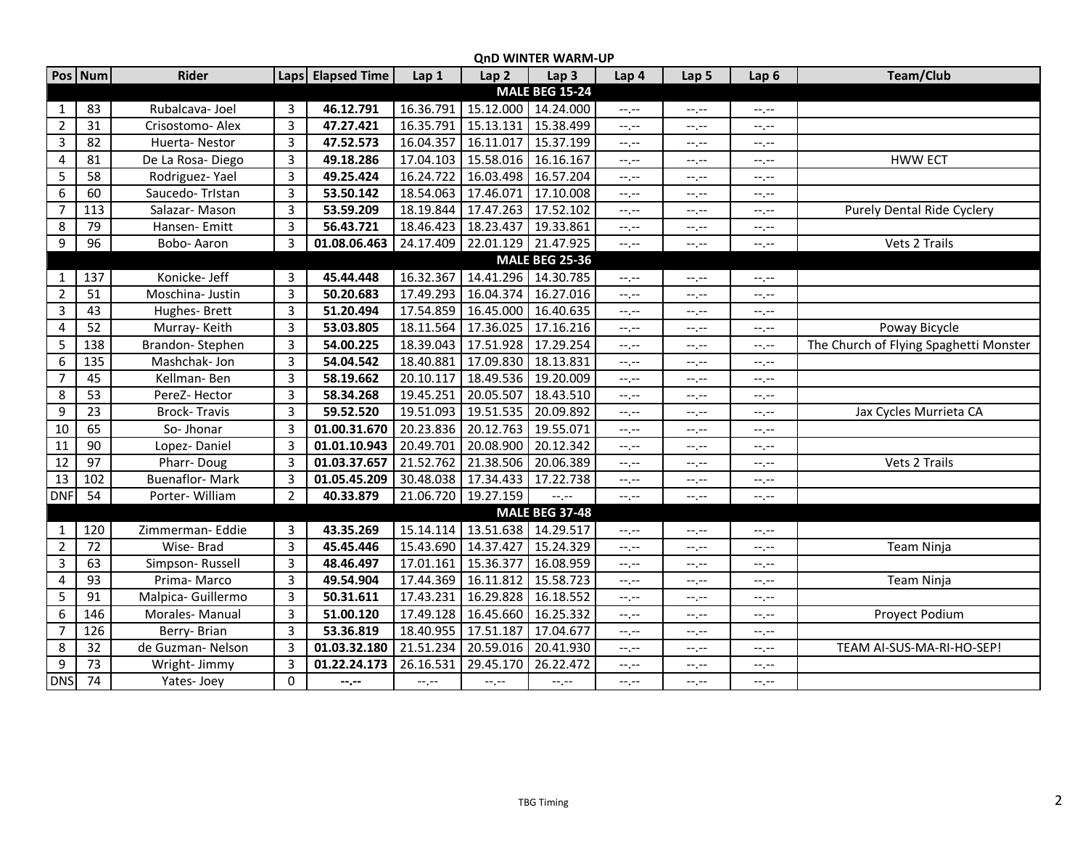|                  |                       |                       |                |                   |           |                     | עווט איווא ובה איאמואי-טר     |             |          |                  |                                        |  |  |
|------------------|-----------------------|-----------------------|----------------|-------------------|-----------|---------------------|-------------------------------|-------------|----------|------------------|----------------------------------------|--|--|
|                  | Pos Num               | Rider                 |                | Laps Elapsed Time | Lap 1     | Lap <sub>2</sub>    | Lap <sub>3</sub>              | Lap 4       | Lap 5    | Lap <sub>6</sub> | Team/Club                              |  |  |
|                  |                       |                       |                |                   |           |                     | <b>MALE BEG 15-24</b>         |             |          |                  |                                        |  |  |
| 1                | 83                    | Rubalcava-Joel        | 3              | 46.12.791         | 16.36.791 | 15.12.000 14.24.000 |                               | $-1$ , $-1$ | $-1, -1$ | $-1, -1$         |                                        |  |  |
| $\overline{2}$   | 31                    | Crisostomo- Alex      | $\overline{3}$ | 47.27.421         | 16.35.791 | 15.13.131           | 15.38.499                     | $-1, -1$    | $-1, -1$ | $-1, -1$         |                                        |  |  |
| 3                | 82                    | Huerta-Nestor         | $\overline{3}$ | 47.52.573         | 16.04.357 | 16.11.017           | 15.37.199                     | $-1, -1$    | $-1, -1$ | $-1, -1$         |                                        |  |  |
| 4                | 81                    | De La Rosa-Diego      | 3              | 49.18.286         | 17.04.103 | 15.58.016           | 16.16.167                     | $-1, -1$    | $-1, -1$ | $-1, -1$         | <b>HWW ECT</b>                         |  |  |
| 5                | 58                    | Rodriguez-Yael        | $\overline{3}$ | 49.25.424         | 16.24.722 | 16.03.498 16.57.204 |                               | $-1, -1$    | $-1, -1$ | $-1, -1$         |                                        |  |  |
| 6                | 60                    | Saucedo-TrIstan       | 3              | 53.50.142         | 18.54.063 | 17.46.071           | 17.10.008                     | $-1, -1$    | $-1, -1$ | $-1, -1$         |                                        |  |  |
| $\overline{7}$   | 113                   | Salazar-Mason         | $\overline{3}$ | 53.59.209         | 18.19.844 | 17.47.263           | 17.52.102                     | $-1, -1$    | $-1, -1$ | $-1, -1$         | Purely Dental Ride Cyclery             |  |  |
| 8                | 79                    | Hansen-Emitt          | 3              | 56.43.721         | 18.46.423 | 18.23.437           | 19.33.861                     | $-1$ , $-1$ | $-1, -1$ | $-1, -1$         |                                        |  |  |
| $\boldsymbol{9}$ | 96                    | Bobo- Aaron           | 3              | 01.08.06.463      | 24.17.409 | 22.01.129 21.47.925 |                               | $-1, -1$    | $-1, -1$ | $-1 - 1 - 1 = 0$ | Vets 2 Trails                          |  |  |
|                  | <b>MALE BEG 25-36</b> |                       |                |                   |           |                     |                               |             |          |                  |                                        |  |  |
| 1                | 137                   | Konicke- Jeff         | $\overline{3}$ | 45.44.448         | 16.32.367 | 14.41.296           | 14.30.785                     | $-1, -1$    | $-1, -1$ | $-1, -1$         |                                        |  |  |
| $\overline{2}$   | $\overline{51}$       | Moschina- Justin      | 3              | 50.20.683         | 17.49.293 | 16.04.374           | 16.27.016                     | --.--       | $-1, -1$ | $-1, -1$         |                                        |  |  |
| 3                | 43                    | Hughes-Brett          | $\overline{3}$ | 51.20.494         | 17.54.859 | 16.45.000           | 16.40.635                     | $-1, -1$    | $-1, -1$ | $-1 - 1 - 1 = 0$ |                                        |  |  |
| 4                | 52                    | Murray-Keith          | $\overline{3}$ | 53.03.805         | 18.11.564 | 17.36.025           | 17.16.216                     | $-1, -1$    | $-1, -1$ | $-1, -1$         | Poway Bicycle                          |  |  |
| 5                | 138                   | Brandon-Stephen       | $\overline{3}$ | 54.00.225         | 18.39.043 | 17.51.928           | 17.29.254                     | --.--       | $-1, -1$ | $-1, -1$         | The Church of Flying Spaghetti Monster |  |  |
| 6                | 135                   | Mashchak- Jon         | 3              | 54.04.542         | 18.40.881 | 17.09.830           | 18.13.831                     | --.--       | $-1, -1$ | $-1, -1$         |                                        |  |  |
| $\overline{7}$   | 45                    | Kellman-Ben           | $\mathbf{3}$   | 58.19.662         | 20.10.117 | 18.49.536           | 19.20.009                     | --.--       | $-1, -1$ | $-1 - 1 - 1 = 0$ |                                        |  |  |
| 8                | 53                    | PereZ- Hector         | $\mathbf{3}$   | 58.34.268         | 19.45.251 | 20.05.507           | 18.43.510                     | $-1, -1$    | $-1, -1$ | $-1, -1$         |                                        |  |  |
| $\boldsymbol{9}$ | 23                    | <b>Brock-Travis</b>   | $\overline{3}$ | 59.52.520         | 19.51.093 | 19.51.535 20.09.892 |                               | --.--       | $-1, -1$ | $-1, -1$         | Jax Cycles Murrieta CA                 |  |  |
| 10               | 65                    | So-Jhonar             | $\overline{3}$ | 01.00.31.670      | 20.23.836 | 20.12.763           | 19.55.071                     | --.--       | $-1, -1$ | $-1, -1$         |                                        |  |  |
| 11               | 90                    | Lopez-Daniel          | $\overline{3}$ | 01.01.10.943      | 20.49.701 | 20.08.900           | 20.12.342                     | $-1, -1$    | $-1, -1$ | $-1, -1$         |                                        |  |  |
| 12               | 97                    | Pharr-Doug            | $\overline{3}$ | 01.03.37.657      | 21.52.762 | 21.38.506           | 20.06.389                     | --.--       | --.--    | $-1, -1$         | Vets 2 Trails                          |  |  |
| 13               | 102                   | <b>Buenaflor-Mark</b> | 3              | 01.05.45.209      |           | 30.48.038 17.34.433 | 17.22.738                     | --.--       | $-1, -1$ | $-1, -1$         |                                        |  |  |
| <b>DNF</b>       | 54                    | Porter-William        | $\overline{2}$ | 40.33.879         |           | 21.06.720 19.27.159 | $\rightarrow$ , $\rightarrow$ | $-1, -1$    | $-1, -1$ | $-1, -1$         |                                        |  |  |
|                  |                       |                       |                |                   |           |                     | <b>MALE BEG 37-48</b>         |             |          |                  |                                        |  |  |
| 1                | 120                   | Zimmerman- Eddie      | $\overline{3}$ | 43.35.269         | 15.14.114 | 13.51.638 14.29.517 |                               | $-1, -1$    | $-1, -1$ | $-1, -1$         |                                        |  |  |
| $\overline{2}$   | 72                    | Wise-Brad             | 3              | 45.45.446         | 15.43.690 | 14.37.427           | 15.24.329                     | --.--       | $-1, -1$ | $-1, -1$         | Team Ninja                             |  |  |
| $\overline{3}$   | 63                    | Simpson-Russell       | 3              | 48.46.497         | 17.01.161 | 15.36.377           | 16.08.959                     | --,--       | $-1, -1$ | $-1, -1$         |                                        |  |  |
| $\overline{4}$   | 93                    | Prima-Marco           | 3              | 49.54.904         | 17.44.369 | 16.11.812           | 15.58.723                     | --,--       | --,--    | $-1, -1$         | Team Ninja                             |  |  |
| 5                | 91                    | Malpica- Guillermo    | $\overline{3}$ | 50.31.611         | 17.43.231 | 16.29.828           | 16.18.552                     | $-1, -1$    | $-1, -1$ | $-1, -1$         |                                        |  |  |
| 6                | 146                   | Morales-Manual        | $\overline{3}$ | 51.00.120         | 17.49.128 | 16.45.660           | 16.25.332                     | --.--       | $-1, -1$ | $-1, -1$         | Proyect Podium                         |  |  |
| 7                | 126                   | Berry-Brian           | 3              | 53.36.819         | 18.40.955 | 17.51.187           | 17.04.677                     | --.--       | $-1, -1$ | $-1, -1$         |                                        |  |  |
| 8                | 32                    | de Guzman-Nelson      | 3              | 01.03.32.180      | 21.51.234 | 20.59.016           | 20.41.930                     | $-1, -1$    | $-1, -1$ | $-1, -1$         | TEAM AI-SUS-MA-RI-HO-SEP!              |  |  |
| $\overline{9}$   | 73                    | Wright- Jimmy         | 3              | 01.22.24.173      | 26.16.531 | 29.45.170           | 26.22.472                     |             |          |                  |                                        |  |  |
| <b>DNS</b>       | 74                    | Yates-Joey            | 0              |                   |           |                     |                               | --.--       | --,--    | $-1, -1$         |                                        |  |  |
|                  |                       |                       |                | --.--             | $-1, -1$  | $-1, -1$            | $-1, -1$                      | --.--       | $-1, -1$ | $-1 - 1 - 1$     |                                        |  |  |

## **QnD WINTER WARM-UP**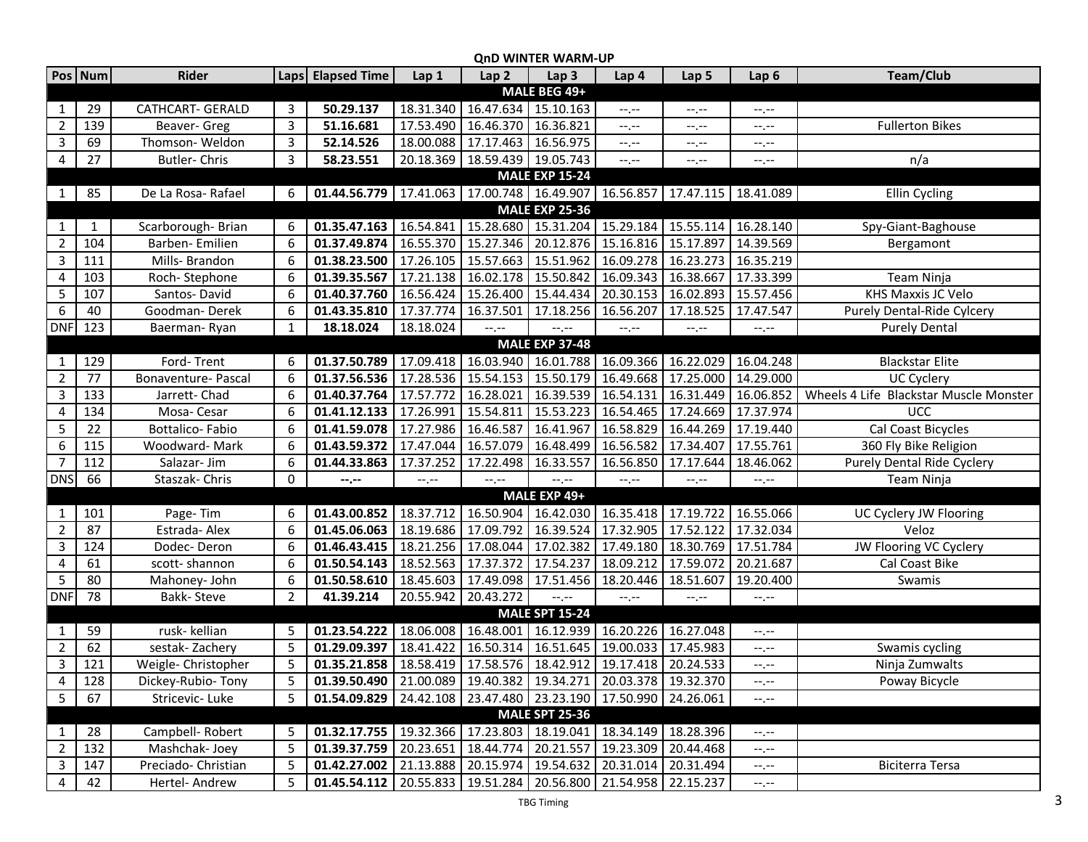| <b>QnD WINTER WARM-UP</b> |                 |                         |                |                                                                          |           |                                                                       |                       |                                               |                                                           |                      |                                        |
|---------------------------|-----------------|-------------------------|----------------|--------------------------------------------------------------------------|-----------|-----------------------------------------------------------------------|-----------------------|-----------------------------------------------|-----------------------------------------------------------|----------------------|----------------------------------------|
|                           | Pos Num         | <b>Rider</b>            |                | Laps Elapsed Time                                                        | Lap 1     | Lap <sub>2</sub>                                                      | Lap <sub>3</sub>      | Lap 4                                         | Lap 5                                                     | Lap <sub>6</sub>     | <b>Team/Club</b>                       |
|                           |                 |                         |                |                                                                          |           |                                                                       | MALE BEG 49+          |                                               |                                                           |                      |                                        |
| 1                         | 29              | <b>CATHCART- GERALD</b> | 3              | 50.29.137                                                                | 18.31.340 | 16.47.634                                                             | 15.10.163             | $-1, -1$                                      | $-1, -1$                                                  | $-1, -1$             |                                        |
| $\overline{2}$            | 139             | Beaver- Greg            | 3              | 51.16.681                                                                | 17.53.490 | 16.46.370 16.36.821                                                   |                       | $-1$ , $-1$                                   | $-1, -1$                                                  | $-1, -1$             | <b>Fullerton Bikes</b>                 |
| $\overline{3}$            | 69              | Thomson-Weldon          | 3              | 52.14.526                                                                | 18.00.088 | 17.17.463 16.56.975                                                   |                       | --.--                                         | $-1, -1$                                                  | $-1, -1$             |                                        |
| 4                         | 27              | Butler-Chris            | 3              | 58.23.551                                                                | 20.18.369 | 18.59.439 19.05.743                                                   |                       | $-1$ , $-1$                                   | $--, --$                                                  | $-1, -1$             | n/a                                    |
| <b>MALE EXP 15-24</b>     |                 |                         |                |                                                                          |           |                                                                       |                       |                                               |                                                           |                      |                                        |
| 1                         | 85              | De La Rosa- Rafael      | 6              | 01.44.56.779 17.41.063 17.00.748 16.49.907 16.56.857 17.47.115 18.41.089 |           |                                                                       |                       |                                               |                                                           |                      | Ellin Cycling                          |
|                           |                 |                         |                |                                                                          |           |                                                                       | <b>MALE EXP 25-36</b> |                                               |                                                           |                      |                                        |
| 1                         | $\mathbf{1}$    | Scarborough-Brian       | 6              | 01.35.47.163                                                             | 16.54.841 |                                                                       |                       |                                               | 15.28.680   15.31.204   15.29.184   15.55.114   16.28.140 |                      | Spy-Giant-Baghouse                     |
| $\overline{2}$            | 104             | Barben-Emilien          | 6              | 01.37.49.874                                                             | 16.55.370 | 15.27.346                                                             |                       |                                               | 20.12.876 15.16.816 15.17.897 14.39.569                   |                      | Bergamont                              |
| $\mathbf{3}$              | 111             | Mills- Brandon          | 6              | 01.38.23.500                                                             | 17.26.105 | 15.57.663   15.51.962   16.09.278                                     |                       |                                               | 16.23.273                                                 | 16.35.219            |                                        |
| 4                         | 103             | Roch-Stephone           | 6              | 01.39.35.567                                                             |           | 17.21.138   16.02.178   15.50.842   16.09.343   16.38.667   17.33.399 |                       |                                               |                                                           |                      | Team Ninja                             |
| 5                         | 107             | Santos-David            | 6              | 01.40.37.760                                                             |           | 16.56.424   15.26.400   15.44.434   20.30.153   16.02.893   15.57.456 |                       |                                               |                                                           |                      | KHS Maxxis JC Velo                     |
| 6                         | 40              | Goodman-Derek           | 6              | 01.43.35.810                                                             |           | 17.37.774 16.37.501                                                   | 17.18.256 16.56.207   |                                               | 17.18.525                                                 | 17.47.547            | Purely Dental-Ride Cylcery             |
| <b>DNF</b>                | 123             | Baerman-Ryan            | $\mathbf{1}$   | 18.18.024                                                                | 18.18.024 | $-1, -1$                                                              | $-1, -1$              | $-1, -1$                                      | $\leftarrow$ , $\leftarrow$                               | $-\mathbb{L}$        | <b>Purely Dental</b>                   |
|                           |                 |                         |                |                                                                          |           |                                                                       | <b>MALE EXP 37-48</b> |                                               |                                                           |                      |                                        |
| 1                         | 129             | Ford-Trent              | 6              | 01.37.50.789                                                             |           | 17.09.418 16.03.940                                                   |                       | 16.01.788 16.09.366                           | 16.22.029                                                 | 16.04.248            | <b>Blackstar Elite</b>                 |
| $\overline{2}$            | 77              | Bonaventure- Pascal     | 6              | 01.37.56.536                                                             |           | 17.28.536   15.54.153   15.50.179   16.49.668   17.25.000             |                       |                                               |                                                           | 14.29.000            | <b>UC Cyclery</b>                      |
| $\overline{3}$            | 133             | Jarrett-Chad            | 6              | 01.40.37.764                                                             | 17.57.772 | 16.28.021                                                             |                       | 16.39.539 16.54.131                           | 16.31.449 16.06.852                                       |                      | Wheels 4 Life Blackstar Muscle Monster |
| 4                         | 134             | Mosa-Cesar              | 6              | 01.41.12.133                                                             | 17.26.991 | 15.54.811                                                             |                       | 15.53.223 16.54.465 17.24.669                 |                                                           | 17.37.974            | UCC                                    |
| 5                         | 22              | Bottalico-Fabio         | 6              | 01.41.59.078                                                             | 17.27.986 | 16.46.587                                                             | 16.41.967             | $\sqrt{16.58.829}$                            | 16.44.269                                                 | 17.19.440            | Cal Coast Bicycles                     |
| 6                         | 115             | Woodward-Mark           | 6              | 01.43.59.372                                                             | 17.47.044 | 16.57.079                                                             | 16.48.499             | 16.56.582                                     | 17.34.407                                                 | 17.55.761            | 360 Fly Bike Religion                  |
| $\overline{7}$            | 112             | Salazar- Jim            | 6              | 01.44.33.863                                                             | 17.37.252 | 17.22.498                                                             | 16.33.557             | 16.56.850                                     | 17.17.644                                                 | 18.46.062            | Purely Dental Ride Cyclery             |
| <b>DNS</b>                | 66              | Staszak- Chris          | 0              | --.--                                                                    | $-1, -1$  | $-1, -1$                                                              | $-1$                  | $-1, -1$                                      | $-1, -1$                                                  | $-1, -1$             | Team Ninja                             |
|                           |                 |                         |                |                                                                          |           |                                                                       | MALE EXP 49+          |                                               |                                                           |                      |                                        |
| 1                         | 101             | Page-Tim                | 6              | 01.43.00.852                                                             | 18.37.712 |                                                                       |                       | 16.50.904 16.42.030 16.35.418 17.19.722       |                                                           | 16.55.066            | UC Cyclery JW Flooring                 |
| $\overline{2}$            | 87              | Estrada-Alex            | 6              | 01.45.06.063                                                             | 18.19.686 | 17.09.792 16.39.524                                                   |                       | 17.32.905 17.52.122                           |                                                           | 17.32.034            | Veloz                                  |
| 3                         | 124             | Dodec-Deron             | 6              | 01.46.43.415                                                             | 18.21.256 | 17.08.044                                                             |                       | 17.02.382 17.49.180 18.30.769                 |                                                           | 17.51.784            | JW Flooring VC Cyclery                 |
| $\overline{4}$            | 61              | scott-shannon           | 6              | 01.50.54.143                                                             | 18.52.563 | 17.37.372                                                             | 17.54.237             | 18.09.212                                     | 17.59.072                                                 | 20.21.687            | Cal Coast Bike                         |
| 5                         | 80              | Mahoney- John           | 6              | 01.50.58.610                                                             | 18.45.603 | 17.49.098                                                             | 17.51.456             | 18.20.446                                     | 18.51.607                                                 | 19.20.400            | Swamis                                 |
| <b>DNF</b>                | $\overline{78}$ | Bakk-Steve              | $\overline{2}$ | 41.39.214                                                                | 20.55.942 | 20.43.272                                                             | $-1, -1$              | $-$ , $-$                                     | $-1, -1$                                                  | $-\mathbb{L}$        |                                        |
|                           |                 |                         |                |                                                                          |           |                                                                       | <b>MALE SPT 15-24</b> |                                               |                                                           |                      |                                        |
| 1                         | 59              | rusk- kellian           | 5              | 01.23.54.222                                                             | 18.06.008 | 16.48.001                                                             |                       | 16.12.939 16.20.226 16.27.048                 |                                                           | $-1, -1$             |                                        |
| $\overline{2}$            | 62              | sestak-Zachery          | 5              | 01.29.09.397                                                             | 18.41.422 |                                                                       |                       | 16.50.314   16.51.645   19.00.033   17.45.983 |                                                           | $-1, -1$             | Swamis cycling                         |
| 3                         | 121             | Weigle-Christopher      | 5              | 01.35.21.858   18.58.419   17.58.576   18.42.912   19.17.418   20.24.533 |           |                                                                       |                       |                                               |                                                           | $--, --$             | Ninja Zumwalts                         |
| $\overline{4}$            | 128             | Dickey-Rubio-Tony       | 5              | 01.39.50.490                                                             |           | 21.00.089   19.40.382   19.34.271   20.03.378   19.32.370             |                       |                                               |                                                           | $-1, -1$             | Poway Bicycle                          |
| $5\phantom{.0}$           | 67              | Stricevic-Luke          | 5              | 01.54.09.829                                                             |           | 24.42.108   23.47.480   23.23.190   17.50.990   24.26.061             |                       |                                               |                                                           | $-1, -1$             |                                        |
|                           |                 |                         |                |                                                                          |           |                                                                       | <b>MALE SPT 25-36</b> |                                               |                                                           |                      |                                        |
| $\mathbf{1}$              | 28              | Campbell-Robert         | 5              | 01.32.17.755                                                             |           | 19.32.366   17.23.803   18.19.041   18.34.149   18.28.396             |                       |                                               |                                                           | $-1, -1$             |                                        |
| $\overline{2}$            | 132             | Mashchak-Joey           | 5              | 01.39.37.759                                                             | 20.23.651 | 18.44.774                                                             |                       | 20.21.557   19.23.309                         | 20.44.468                                                 | $-1, -1$             |                                        |
| $\mathbf{3}$              | 147             | Preciado- Christian     | 5              | 01.42.27.002                                                             |           | 21.13.888   20.15.974   19.54.632   20.31.014                         |                       |                                               | 20.31.494                                                 | $-\text{-},\text{-}$ | Biciterra Tersa                        |
| $\overline{4}$            | 42              | Hertel- Andrew          | 5              | 01.45.54.112                                                             |           | 20.55.833 19.51.284                                                   |                       | 20.56.800 21.54.958 22.15.237                 |                                                           | $-\mathbb{L}$        |                                        |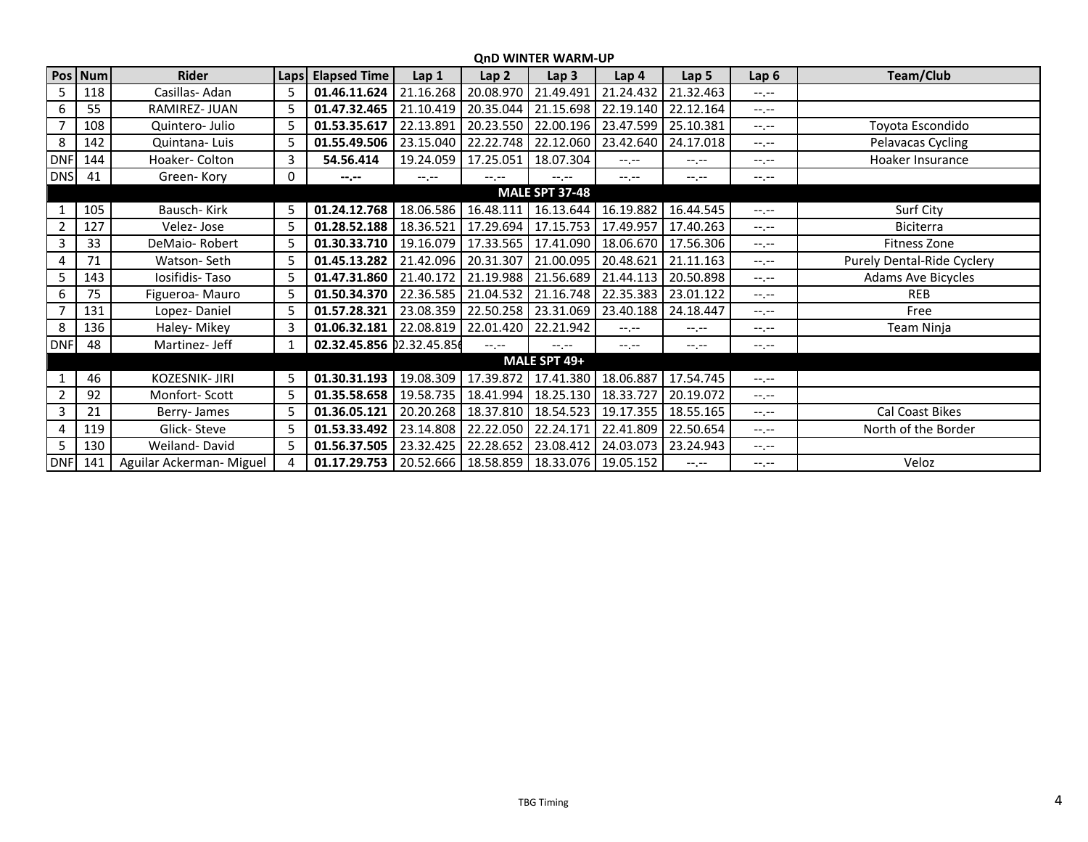## **QnD WINTER WARM-UP**

|                | Pos Num | Rider                    | Laps | <b>Elapsed Time</b>                                          | Lap <sub>1</sub> | Lap <sub>2</sub>                              | Lap <sub>3</sub>      | Lap 4                             | Lap <sub>5</sub> | Lap <sub>6</sub> | Team/Club                  |
|----------------|---------|--------------------------|------|--------------------------------------------------------------|------------------|-----------------------------------------------|-----------------------|-----------------------------------|------------------|------------------|----------------------------|
| 5.             | 118     | Casillas-Adan            | 5    | 01.46.11.624                                                 | 21.16.268        | 20.08.970                                     | 21.49.491             | 21.24.432                         | 21.32.463        | $-1$ , $-1$      |                            |
| 6              | 55      | <b>RAMIREZ-JUAN</b>      | 5    | 01.47.32.465                                                 | 21.10.419        | 20.35.044                                     |                       | 21.15.698 22.19.140               | 22.12.164        | $-1. - -$        |                            |
|                | 108     | Quintero- Julio          | 5    | 01.53.35.617                                                 | 22.13.891        | 20.23.550                                     |                       | 22.00.196   23.47.599   25.10.381 |                  | $-1, -1$         | Toyota Escondido           |
| 8              | 142     | Quintana-Luis            | 5    | 01.55.49.506                                                 | 23.15.040        | 22.22.748                                     |                       | 22.12.060   23.42.640             | 24.17.018        | $-1, -1$         | Pelavacas Cycling          |
| <b>DNF</b>     | 144     | Hoaker- Colton           | 3    | 54.56.414                                                    | 19.24.059        | 17.25.051                                     | 18.07.304             | $-1$ , $-1$                       | $-1. - -$        | $-1, -1$         | Hoaker Insurance           |
| <b>DNS</b>     | 41      | Green-Kory               | 0    | $-1 - 1 - 1 = 0$                                             | $-1.1 -$         | $-1$ , $-1$                                   | $-1$ , $-1$           | $-1$ , $-1$                       | $-1.1 -$         | $-1.1 -$         |                            |
|                |         |                          |      |                                                              |                  |                                               | <b>MALE SPT 37-48</b> |                                   |                  |                  |                            |
|                | 105     | Bausch-Kirk              | 5    | 01.24.12.768                                                 |                  | 18.06.586 16.48.111                           |                       | 16.13.644   16.19.882             | 16.44.545        | $-1, -1$         | Surf City                  |
| 2              | 127     | Velez-Jose               | 5    | 01.28.52.188                                                 | 18.36.521        | 17.29.694                                     | 17.15.753             | 17.49.957                         | 17.40.263        | $-1$ , $-1$      | Biciterra                  |
| 3              | 33      | DeMaio-Robert            | 5    | 01.30.33.710                                                 | 19.16.079        | 17.33.565                                     | 17.41.090             | 18.06.670                         | 17.56.306        | $-1, -1$         | Fitness Zone               |
|                | 71      | Watson-Seth              | 5    | 01.45.13.282                                                 | 21.42.096        | 20.31.307                                     | 21.00.095             | 20.48.621                         | 21.11.163        | $-1$ , $-1$      | Purely Dental-Ride Cyclery |
| 5.             | 143     | Iosifidis-Taso           | 5    | 01.47.31.860                                                 |                  | 21.40.172   21.19.988   21.56.689   21.44.113 |                       |                                   | 20.50.898        | $-1$ , $-1$      | <b>Adams Ave Bicycles</b>  |
| 6              | 75      | Figueroa- Mauro          | 5    | 01.50.34.370                                                 |                  | 22.36.585 21.04.532                           |                       | 21.16.748   22.35.383             | 23.01.122        | $-1$ , $-1$      | <b>REB</b>                 |
|                | 131     | Lopez-Daniel             | 5    | 01.57.28.321                                                 |                  | 23.08.359   22.50.258   23.31.069   23.40.188 |                       |                                   | 24.18.447        | $-1$ , $-1$      | Free                       |
| 8              | 136     | Haley-Mikey              | 3    | 01.06.32.181                                                 |                  | 22.08.819   22.01.420                         | 22.21.942             | $-1$ , $-1$                       | $-1, -1$         | $-1, -1$         | Team Ninja                 |
| <b>DNF</b>     | 48      | Martinez- Jeff           | 1    | 02.32.45.856 02.32.45.85                                     |                  | $-1$ , $-1$                                   | $-1 - 1 - 1 = 0$      | $-1, -1$                          | $-1 - 1 - 1 = 0$ | $-1, -1$         |                            |
|                |         |                          |      |                                                              |                  |                                               | MALE SPT 49+          |                                   |                  |                  |                            |
|                | 46      | KOZESNIK- JIRI           | 5    | 01.30.31.193                                                 |                  | 19.08.309 17.39.872                           |                       | 17.41.380   18.06.887   17.54.745 |                  | $-1, -1$         |                            |
| $\overline{2}$ | 92      | Monfort-Scott            | 5    | 01.35.58.658                                                 | 19.58.735        | 18.41.994                                     |                       | 18.25.130   18.33.727             | 20.19.072        | $-1, -1$         |                            |
| 3              | 21      | Berry-James              | 5    | 01.36.05.121                                                 | 20.20.268        | 18.37.810                                     | 18.54.523             | 19.17.355                         | 18.55.165        | $-1$ , $-1$      | Cal Coast Bikes            |
|                | 119     | Glick-Steve              | 5    | 01.53.33.492                                                 | 23.14.808        | 22.22.050                                     | 22.24.171             | 22.41.809                         | 22.50.654        | $-1$ , $-1$      | North of the Border        |
| 5              | 130     | Weiland-David            | 5    | 01.56.37.505                                                 | 23.32.425        | 22.28.652                                     | 23.08.412             | 24.03.073                         | 23.24.943        | $-1, -1$         |                            |
| <b>DNF</b>     | 141     | Aguilar Ackerman- Miguel | 4    | 01.17.29.753   20.52.666   18.58.859   18.33.076   19.05.152 |                  |                                               |                       |                                   | $-1$ , $-1$      | $-1, -1$         | Veloz                      |